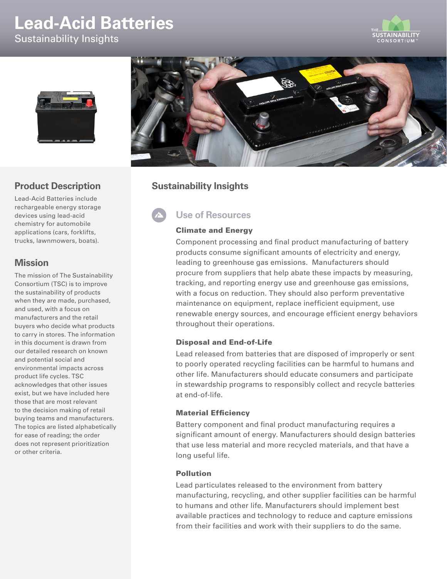# **Lead-Acid Batteries** Sustainability Insights





## **Product Description**

Lead-Acid Batteries include rechargeable energy storage devices using lead-acid chemistry for automobile applications (cars, forklifts, trucks, lawnmowers, boats).

## **Mission**

The mission of The Sustainability Consortium (TSC) is to improve the sustainability of products when they are made, purchased, and used, with a focus on manufacturers and the retail buyers who decide what products to carry in stores. The information in this document is drawn from our detailed research on known and potential social and environmental impacts across product life cycles. TSC acknowledges that other issues exist, but we have included here those that are most relevant to the decision making of retail buying teams and manufacturers. The topics are listed alphabetically for ease of reading; the order does not represent prioritization or other criteria.



# **Sustainability Insights**

# **Use of Resources**

### Climate and Energy

Component processing and final product manufacturing of battery products consume significant amounts of electricity and energy, leading to greenhouse gas emissions. Manufacturers should procure from suppliers that help abate these impacts by measuring, tracking, and reporting energy use and greenhouse gas emissions, with a focus on reduction. They should also perform preventative maintenance on equipment, replace inefficient equipment, use renewable energy sources, and encourage efficient energy behaviors throughout their operations.

### Disposal and End-of-Life

Lead released from batteries that are disposed of improperly or sent to poorly operated recycling facilities can be harmful to humans and other life. Manufacturers should educate consumers and participate in stewardship programs to responsibly collect and recycle batteries at end-of-life.

#### Material Efficiency

Battery component and final product manufacturing requires a significant amount of energy. Manufacturers should design batteries that use less material and more recycled materials, and that have a long useful life.

#### Pollution

Lead particulates released to the environment from battery manufacturing, recycling, and other supplier facilities can be harmful to humans and other life. Manufacturers should implement best available practices and technology to reduce and capture emissions from their facilities and work with their suppliers to do the same.